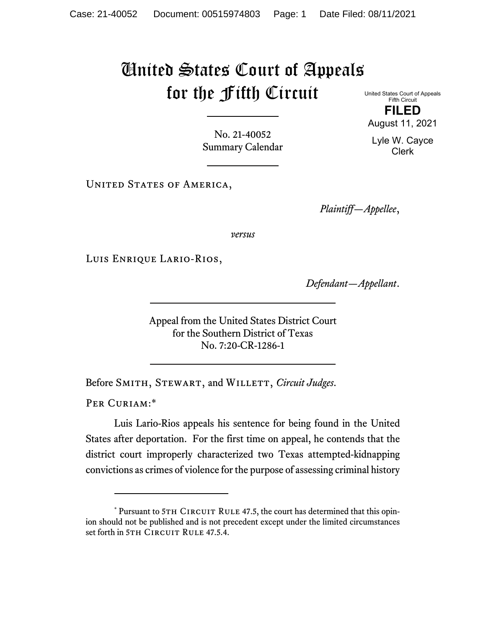## United States Court of Appeals for the Fifth Circuit

United States Court of Appeals Fifth Circuit **FILED**  August 11, 2021

No. 21-40052 Summary Calendar

UNITED STATES OF AMERICA,

*Plaintiff—Appellee*,

*versus*

Luis Enrique Lario-Rios,

*Defendant—Appellant*.

Appeal from the United States District Court for the Southern District of Texas No. 7:20-CR-1286-1

Before SMITH, STEWART, and WILLETT, *Circuit Judges*.

PER CURIAM:\*

Luis Lario-Rios appeals his sentence for being found in the United States after deportation. For the first time on appeal, he contends that the district court improperly characterized two Texas attempted-kidnapping convictions as crimes of violence for the purpose of assessing criminal history

Lyle W. Cayce Clerk

<sup>\*</sup> Pursuant to 5TH CIRCUIT RULE 47.5, the court has determined that this opinion should not be published and is not precedent except under the limited circumstances set forth in 5TH CIRCUIT RULE 47.5.4.